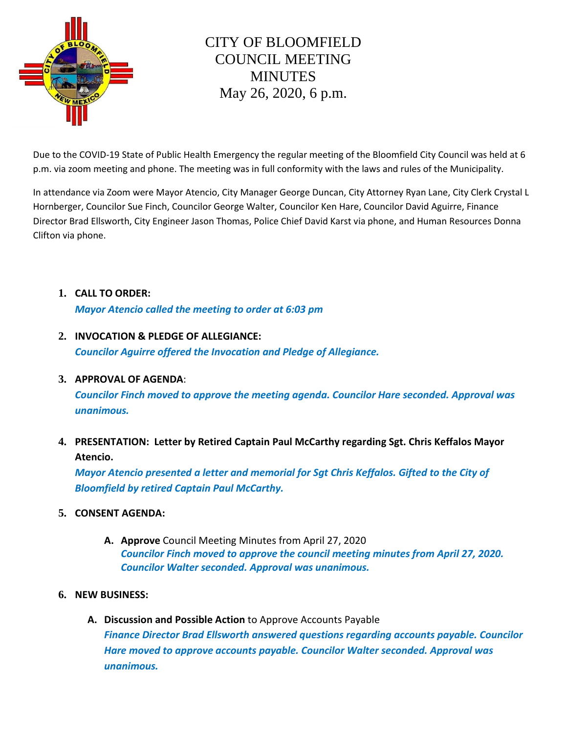

## CITY OF BLOOMFIELD COUNCIL MEETING MINUTES May 26, 2020, 6 p.m.

Due to the COVID-19 State of Public Health Emergency the regular meeting of the Bloomfield City Council was held at 6 p.m. via zoom meeting and phone. The meeting was in full conformity with the laws and rules of the Municipality.

In attendance via Zoom were Mayor Atencio, City Manager George Duncan, City Attorney Ryan Lane, City Clerk Crystal L Hornberger, Councilor Sue Finch, Councilor George Walter, Councilor Ken Hare, Councilor David Aguirre, Finance Director Brad Ellsworth, City Engineer Jason Thomas, Police Chief David Karst via phone, and Human Resources Donna Clifton via phone.

## **1. CALL TO ORDER:**  *Mayor Atencio called the meeting to order at 6:03 pm*

- **2. INVOCATION & PLEDGE OF ALLEGIANCE:** *Councilor Aguirre offered the Invocation and Pledge of Allegiance.*
- **3. APPROVAL OF AGENDA**:

*Councilor Finch moved to approve the meeting agenda. Councilor Hare seconded. Approval was unanimous.* 

**4. PRESENTATION: Letter by Retired Captain Paul McCarthy regarding Sgt. Chris Keffalos Mayor Atencio.**

*Mayor Atencio presented a letter and memorial for Sgt Chris Keffalos. Gifted to the City of Bloomfield by retired Captain Paul McCarthy.* 

- **5. CONSENT AGENDA:**
	- **A. Approve** Council Meeting Minutes from April 27, 2020 *Councilor Finch moved to approve the council meeting minutes from April 27, 2020. Councilor Walter seconded. Approval was unanimous.*
- **6. NEW BUSINESS:**
	- **A. Discussion and Possible Action** to Approve Accounts Payable *Finance Director Brad Ellsworth answered questions regarding accounts payable. Councilor Hare moved to approve accounts payable. Councilor Walter seconded. Approval was unanimous.*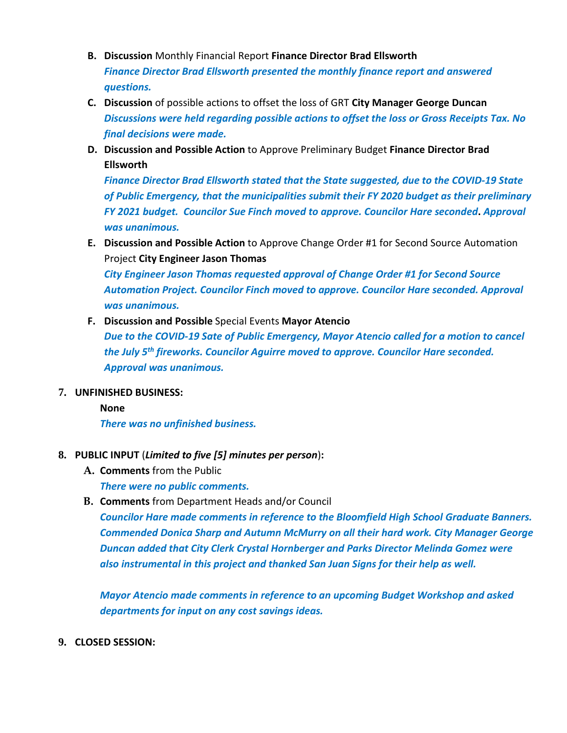- **B. Discussion** Monthly Financial Report **Finance Director Brad Ellsworth**  *Finance Director Brad Ellsworth presented the monthly finance report and answered questions.*
- **C. Discussion** of possible actions to offset the loss of GRT **City Manager George Duncan** *Discussions were held regarding possible actions to offset the loss or Gross Receipts Tax. No final decisions were made.*
- **D. Discussion and Possible Action** to Approve Preliminary Budget **Finance Director Brad Ellsworth**

*Finance Director Brad Ellsworth stated that the State suggested, due to the COVID-19 State of Public Emergency, that the municipalities submit their FY 2020 budget as their preliminary FY 2021 budget. Councilor Sue Finch moved to approve. Councilor Hare seconded***.** *Approval was unanimous.*

**E. Discussion and Possible Action** to Approve Change Order #1 for Second Source Automation Project **City Engineer Jason Thomas** 

*City Engineer Jason Thomas requested approval of Change Order #1 for Second Source Automation Project. Councilor Finch moved to approve. Councilor Hare seconded. Approval was unanimous.*

- **F. Discussion and Possible** Special Events **Mayor Atencio**  *Due to the COVID-19 Sate of Public Emergency, Mayor Atencio called for a motion to cancel the July 5th fireworks. Councilor Aguirre moved to approve. Councilor Hare seconded. Approval was unanimous.*
- **7. UNFINISHED BUSINESS:** 
	- **None**

*There was no unfinished business.* 

## **8. PUBLIC INPUT** (*Limited to five [5] minutes per person*)**:**

- **A. Comments** from the Public *There were no public comments.*
- **B. Comments** from Department Heads and/or Council

*Councilor Hare made comments in reference to the Bloomfield High School Graduate Banners. Commended Donica Sharp and Autumn McMurry on all their hard work. City Manager George Duncan added that City Clerk Crystal Hornberger and Parks Director Melinda Gomez were also instrumental in this project and thanked San Juan Signs for their help as well.*

*Mayor Atencio made comments in reference to an upcoming Budget Workshop and asked departments for input on any cost savings ideas.* 

**9. CLOSED SESSION:**